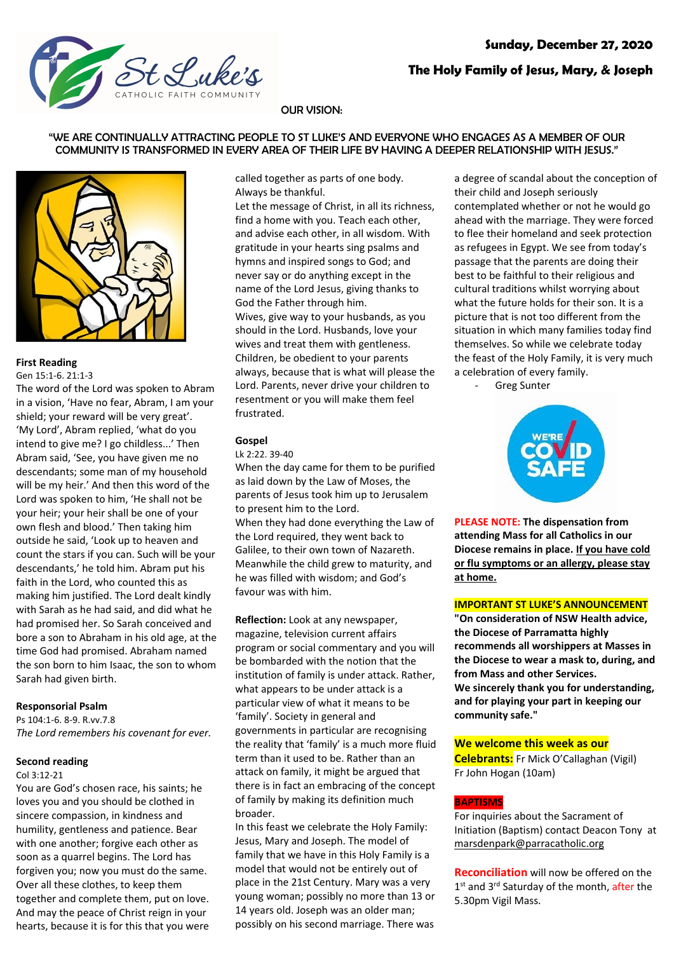

## **The Holy Family of Jesus, Mary, & Joseph**

### OUR VISION:

### "WE ARE CONTINUALLY ATTRACTING PEOPLE TO ST LUKE'S AND EVERYONE WHO ENGAGES AS A MEMBER OF OUR COMMUNITY IS TRANSFORMED IN EVERY AREA OF THEIR LIFE BY HAVING A DEEPER RELATIONSHIP WITH JESUS."



### **First Reading**

Gen 15:1-6. 21:1-3

The word of the Lord was spoken to Abram in a vision, 'Have no fear, Abram, I am your shield; your reward will be very great'. 'My Lord', Abram replied, 'what do you intend to give me? I go childless...' Then Abram said, 'See, you have given me no descendants; some man of my household will be my heir.' And then this word of the Lord was spoken to him, 'He shall not be your heir; your heir shall be one of your own flesh and blood.' Then taking him outside he said, 'Look up to heaven and count the stars if you can. Such will be your descendants,' he told him. Abram put his faith in the Lord, who counted this as making him justified. The Lord dealt kindly with Sarah as he had said, and did what he had promised her. So Sarah conceived and bore a son to Abraham in his old age, at the time God had promised. Abraham named the son born to him Isaac, the son to whom Sarah had given birth.

#### **Responsorial Psalm**

Ps 104:1-6. 8-9. R.vv.7.8 *The Lord remembers his covenant for ever.*

### **Second reading**

Col 3:12-21

You are God's chosen race, his saints; he loves you and you should be clothed in sincere compassion, in kindness and humility, gentleness and patience. Bear with one another; forgive each other as soon as a quarrel begins. The Lord has forgiven you; now you must do the same. Over all these clothes, to keep them together and complete them, put on love. And may the peace of Christ reign in your hearts, because it is for this that you were called together as parts of one body. Always be thankful.

Let the message of Christ, in all its richness, find a home with you. Teach each other, and advise each other, in all wisdom. With gratitude in your hearts sing psalms and hymns and inspired songs to God; and never say or do anything except in the name of the Lord Jesus, giving thanks to God the Father through him. Wives, give way to your husbands, as you should in the Lord. Husbands, love your wives and treat them with gentleness. Children, be obedient to your parents always, because that is what will please the Lord. Parents, never drive your children to resentment or you will make them feel frustrated.

# **Gospel**

Lk 2:22. 39-40

When the day came for them to be purified as laid down by the Law of Moses, the parents of Jesus took him up to Jerusalem to present him to the Lord. When they had done everything the Law of the Lord required, they went back to Galilee, to their own town of Nazareth. Meanwhile the child grew to maturity, and he was filled with wisdom; and God's favour was with him.

**Reflection:** Look at any newspaper, magazine, television current affairs program or social commentary and you will be bombarded with the notion that the institution of family is under attack. Rather, what appears to be under attack is a particular view of what it means to be 'family'. Society in general and governments in particular are recognising the reality that 'family' is a much more fluid term than it used to be. Rather than an attack on family, it might be argued that there is in fact an embracing of the concept of family by making its definition much broader.

In this feast we celebrate the Holy Family: Jesus, Mary and Joseph. The model of family that we have in this Holy Family is a model that would not be entirely out of place in the 21st Century. Mary was a very young woman; possibly no more than 13 or 14 years old. Joseph was an older man; possibly on his second marriage. There was

a degree of scandal about the conception of their child and Joseph seriously contemplated whether or not he would go ahead with the marriage. They were forced to flee their homeland and seek protection as refugees in Egypt. We see from today's passage that the parents are doing their best to be faithful to their religious and cultural traditions whilst worrying about what the future holds for their son. It is a picture that is not too different from the situation in which many families today find themselves. So while we celebrate today the feast of the Holy Family, it is very much a celebration of every family.

Greg Sunter



**PLEASE NOTE: The dispensation from attending Mass for all Catholics in our Diocese remains in place. If you have cold or flu symptoms or an allergy, please stay at home.**

#### **IMPORTANT ST LUKE'S ANNOUNCEMENT**

**"On consideration of NSW Health advice, the Diocese of Parramatta highly recommends all worshippers at Masses in the Diocese to wear a mask to, during, and from Mass and other Services. We sincerely thank you for understanding, and for playing your part in keeping our community safe."**

#### **We welcome this week as our**

**Celebrants:** Fr Mick O'Callaghan (Vigil) Fr John Hogan (10am)

#### **BAPTISMS**

For inquiries about the Sacrament of Initiation (Baptism) contact Deacon Tony at marsdenpark@parracatholic.org

**Reconciliation** will now be offered on the 1<sup>st</sup> and 3<sup>rd</sup> Saturday of the month, after the 5.30pm Vigil Mass.